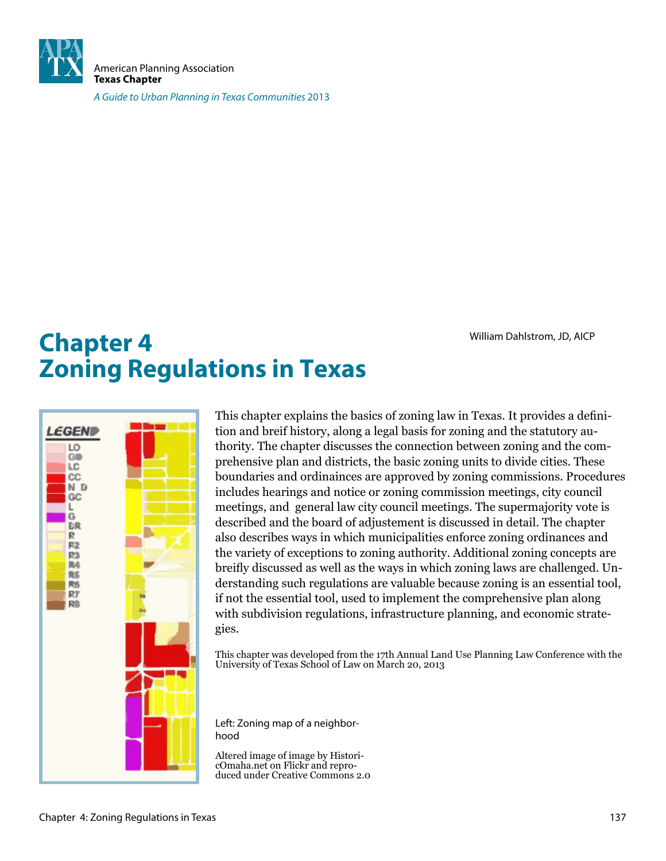

American Planning Association **Texas Chapter**

A Guide to Urban Planning in Texas Communities 2013

# **Chapter 4** William Dahlstrom, JD, AICP **Zoning Regulations in Texas**



This chapter explains the basics of zoning law in Texas. It provides a deinition and breif history, along a legal basis for zoning and the statutory authority. The chapter discusses the connection between zoning and the comprehensive plan and districts, the basic zoning units to divide cities. These boundaries and ordinainces are approved by zoning commissions. Procedures includes hearings and notice or zoning commission meetings, city council meetings, and general law city council meetings. The supermajority vote is described and the board of adjustement is discussed in detail. The chapter also describes ways in which municipalities enforce zoning ordinances and the variety of exceptions to zoning authority. Additional zoning concepts are breily discussed as well as the ways in which zoning laws are challenged. Understanding such regulations are valuable because zoning is an essential tool, if not the essential tool, used to implement the comprehensive plan along with subdivision regulations, infrastructure planning, and economic strategies.

This chapter was developed from the 17th Annual Land Use Planning Law Conference with the University of Texas School of Law on March 20, 2013

Left: Zoning map of a neighborhood

Altered image of image by HistoricOmaha.net on Flickr and reproduced under Creative Commons 2.0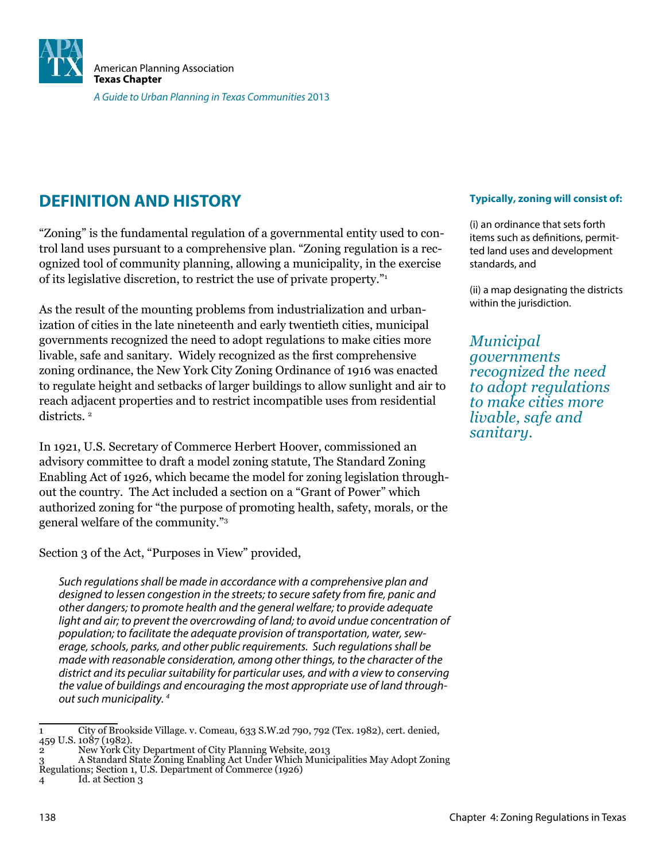

# **DEFINITION AND HISTORY**

"Zoning" is the fundamental regulation of a governmental entity used to control land uses pursuant to a comprehensive plan. "Zoning regulation is a recognized tool of community planning, allowing a municipality, in the exercise of its legislative discretion, to restrict the use of private property."<sup>1</sup>

As the result of the mounting problems from industrialization and urbanization of cities in the late nineteenth and early twentieth cities, municipal governments recognized the need to adopt regulations to make cities more livable, safe and sanitary. Widely recognized as the first comprehensive zoning ordinance, the New York City Zoning Ordinance of 1916 was enacted to regulate height and setbacks of larger buildings to allow sunlight and air to reach adjacent properties and to restrict incompatible uses from residential districts. <sup>2</sup>

In 1921, U.S. Secretary of Commerce Herbert Hoover, commissioned an advisory committee to draft a model zoning statute, The Standard Zoning Enabling Act of 1926, which became the model for zoning legislation throughout the country. The Act included a section on a "Grant of Power" which authorized zoning for "the purpose of promoting health, safety, morals, or the general welfare of the community."<sup>3</sup>

Section 3 of the Act, "Purposes in View" provided,

Such regulations shall be made in accordance with a comprehensive plan and designed to lessen congestion in the streets; to secure safety from fire, panic and other dangers; to promote health and the general welfare; to provide adequate light and air; to prevent the overcrowding of land; to avoid undue concentration of population; to facilitate the adequate provision of transportation, water, sewerage, schools, parks, and other public requirements. Such regulations shall be made with reasonable consideration, among other things, to the character of the district and its peculiar suitability for particular uses, and with a view to conserving the value of buildings and encouraging the most appropriate use of land throughout such municipality. <sup>4</sup>

4 Id. at Section 3

#### **Typically, zoning will consist of:**

(i) an ordinance that sets forth items such as definitions, permitted land uses and development standards, and

(ii) a map designating the districts within the jurisdiction.

*Municipal governments recognized the need to adopt regulations to make cities more livable, safe and sanitary.* 

<sup>1</sup> City of Brookside Village. v. Comeau, 633 S.W.2d 790, 792 (Tex. 1982), cert. denied, 459 U.S. 1087 (1982).

<sup>2</sup> New York City Department of City Planning Website, 2013

<sup>3</sup> A Standard State Zoning Enabling Act Under Which Municipalities May Adopt Zoning Regulations; Section 1, U.S. Department of Commerce (1926)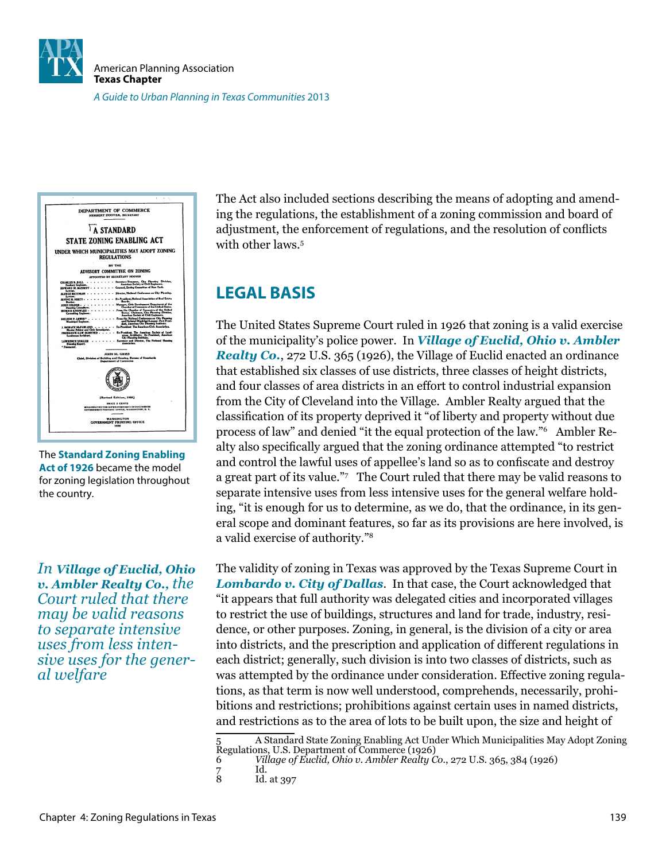



The **Standard Zoning Enabling Act of 1926** became the model for zoning legislation throughout the country.

*In Village of Euclid, Ohio v. Ambler Realty Co., the Court ruled that there may be valid reasons to separate intensive uses from less intensive uses for the general welfare*

The Act also included sections describing the means of adopting and amending the regulations, the establishment of a zoning commission and board of adjustment, the enforcement of regulations, and the resolution of conlicts with other laws.<sup>5</sup>

# **LEGAL BASIS**

The United States Supreme Court ruled in 1926 that zoning is a valid exercise of the municipality's police power. In *Village of Euclid, Ohio v. Ambler Realty Co.*, 272 U.S. 365 (1926), the Village of Euclid enacted an ordinance that established six classes of use districts, three classes of height districts, and four classes of area districts in an effort to control industrial expansion from the City of Cleveland into the Village. Ambler Realty argued that the classiication of its property deprived it "of liberty and property without due process of law" and denied "it the equal protection of the law."<sup>6</sup> Ambler Realty also speciically argued that the zoning ordinance attempted "to restrict and control the lawful uses of appellee's land so as to confiscate and destroy a great part of its value."<sup>7</sup> The Court ruled that there may be valid reasons to separate intensive uses from less intensive uses for the general welfare holding, "it is enough for us to determine, as we do, that the ordinance, in its general scope and dominant features, so far as its provisions are here involved, is a valid exercise of authority."<sup>8</sup>

The validity of zoning in Texas was approved by the Texas Supreme Court in *Lombardo v. City of Dallas*. In that case, the Court acknowledged that "it appears that full authority was delegated cities and incorporated villages to restrict the use of buildings, structures and land for trade, industry, residence, or other purposes. Zoning, in general, is the division of a city or area into districts, and the prescription and application of different regulations in each district; generally, such division is into two classes of districts, such as was attempted by the ordinance under consideration. Effective zoning regulations, as that term is now well understood, comprehends, necessarily, prohibitions and restrictions; prohibitions against certain uses in named districts, and restrictions as to the area of lots to be built upon, the size and height of

<sup>5</sup> A Standard State Zoning Enabling Act Under Which Municipalities May Adopt Zoning 5 A Standard State Zoning Zimbang (1926)<br>Regulations, U.S. Department of Commerce (1926)

<sup>6</sup> *Village of Euclid, Ohio v. Ambler Realty Co.*, 272 U.S. 365, 384 (1926)

<sup>7</sup> Id. Id. at 397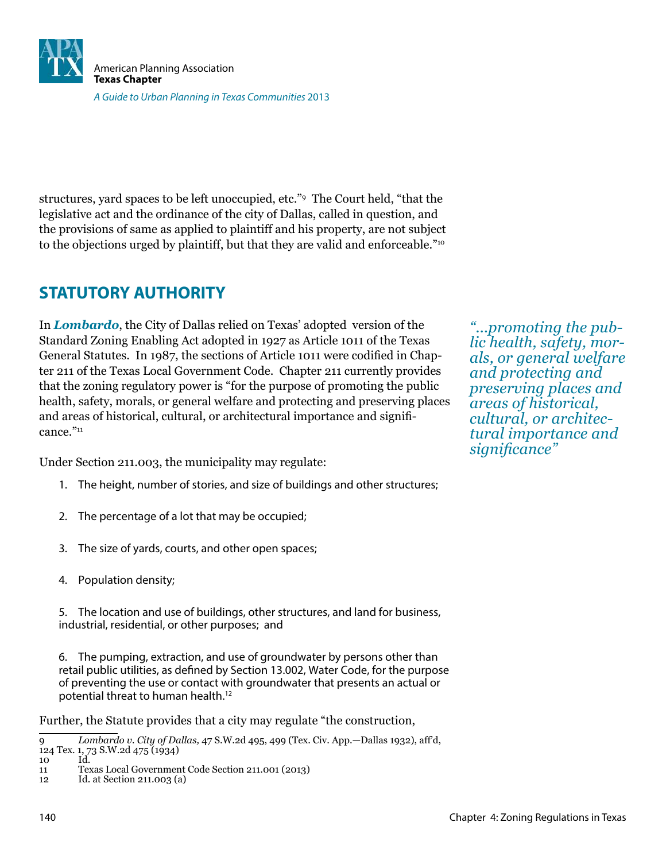

structures, yard spaces to be left unoccupied, etc."<sup>9</sup> The Court held, "that the legislative act and the ordinance of the city of Dallas, called in question, and the provisions of same as applied to plaintiff and his property, are not subject to the objections urged by plaintiff, but that they are valid and enforceable."<sup>10</sup>

# **STATUTORY AUTHORITY**

In *Lombardo*, the City of Dallas relied on Texas' adopted version of the Standard Zoning Enabling Act adopted in 1927 as Article 1011 of the Texas General Statutes. In 1987, the sections of Article 1011 were codified in Chapter 211 of the Texas Local Government Code. Chapter 211 currently provides that the zoning regulatory power is "for the purpose of promoting the public health, safety, morals, or general welfare and protecting and preserving places and areas of historical, cultural, or architectural importance and significance."<sup>11</sup>

Under Section 211.003, the municipality may regulate:

- 1. The height, number of stories, and size of buildings and other structures;
- 2. The percentage of a lot that may be occupied;
- 3. The size of yards, courts, and other open spaces;
- 4. Population density;

5. The location and use of buildings, other structures, and land for business, industrial, residential, or other purposes; and

6. The pumping, extraction, and use of groundwater by persons other than retail public utilities, as defined by Section 13.002, Water Code, for the purpose of preventing the use or contact with groundwater that presents an actual or potential threat to human health.<sup>12</sup>

Further, the Statute provides that a city may regulate "the construction,

*"...promoting the public health, safety, morals, or general welfare and protecting and preserving places and areas of historical, cultural, or architectural importance and signiicance"*

<sup>9</sup> *Lombardo v. City of Dallas,* 47 S.W.2d 495, 499 (Tex. Civ. App.—Dallas 1932), aff'd, 124 Tex. 1, 73 S.W.2d 475 (1934)

<sup>10</sup> Id.

<sup>11</sup> Texas Local Government Code Section 211.001 (2013)

<sup>12</sup> Id. at Section 211.003 (a)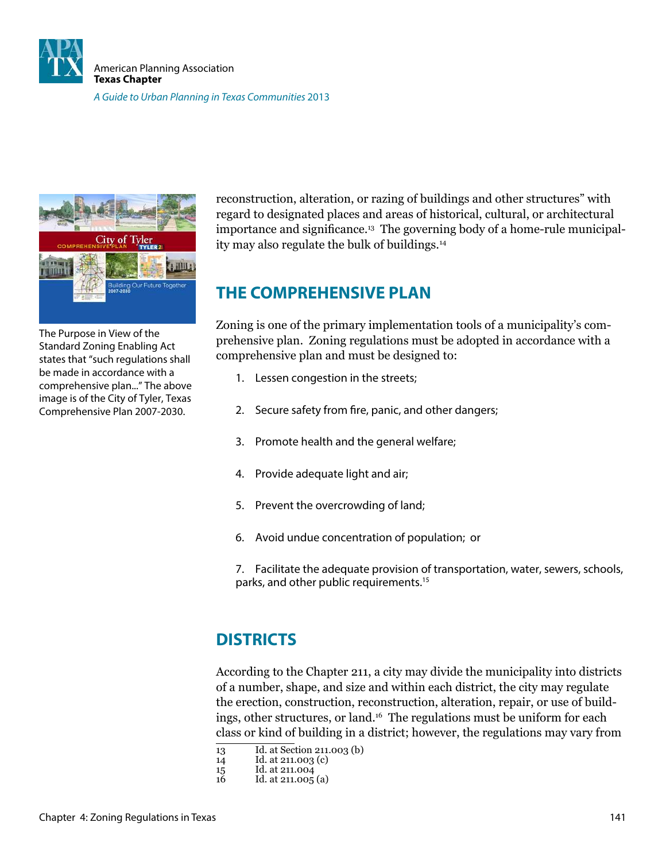



The Purpose in View of the Standard Zoning Enabling Act states that "such regulations shall be made in accordance with a comprehensive plan..." The above image is of the City of Tyler, Texas Comprehensive Plan 2007-2030.

reconstruction, alteration, or razing of buildings and other structures" with regard to designated places and areas of historical, cultural, or architectural importance and significance.<sup>13</sup> The governing body of a home-rule municipality may also regulate the bulk of buildings.<sup>14</sup>

# **THE COMPREHENSIVE PLAN**

Zoning is one of the primary implementation tools of a municipality's comprehensive plan. Zoning regulations must be adopted in accordance with a comprehensive plan and must be designed to:

- 1. Lessen congestion in the streets;
- 2. Secure safety from fire, panic, and other dangers;
- 3. Promote health and the general welfare;
- 4. Provide adequate light and air;
- 5. Prevent the overcrowding of land;
- 6. Avoid undue concentration of population; or

7. Facilitate the adequate provision of transportation, water, sewers, schools, parks, and other public requirements.<sup>15</sup>

# **DISTRICTS**

According to the Chapter 211, a city may divide the municipality into districts of a number, shape, and size and within each district, the city may regulate the erection, construction, reconstruction, alteration, repair, or use of buildings, other structures, or land.16 The regulations must be uniform for each class or kind of building in a district; however, the regulations may vary from

- 13 Id. at Section 211.003 (b)
- 14 Id. at 211.003 (c)
- 15 Id. at 211.004
- 16 Id. at 211.005 (a)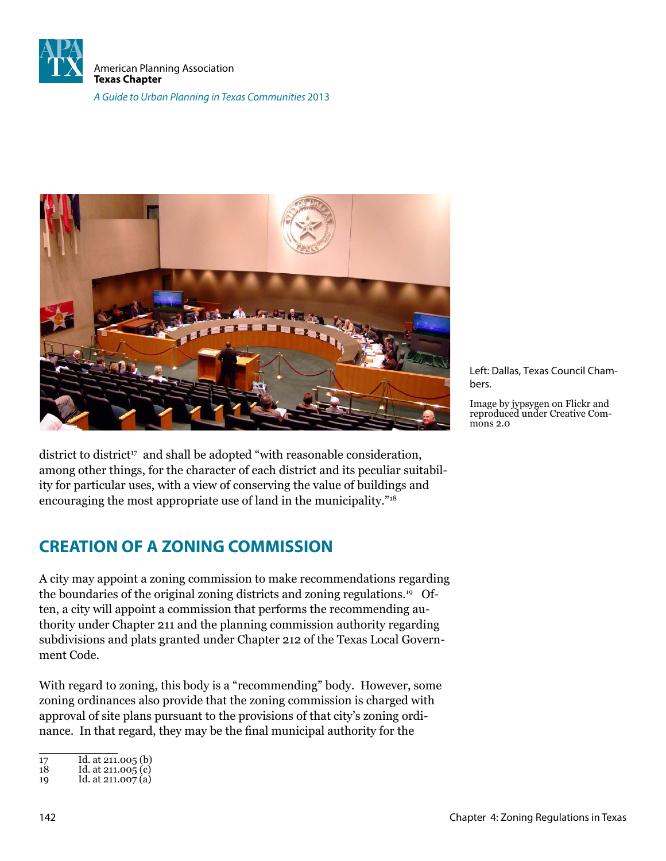



district to district<sup>17</sup> and shall be adopted "with reasonable consideration, among other things, for the character of each district and its peculiar suitability for particular uses, with a view of conserving the value of buildings and encouraging the most appropriate use of land in the municipality."<sup>18</sup>

# **CREATION OF A ZONING COMMISSION**

A city may appoint a zoning commission to make recommendations regarding the boundaries of the original zoning districts and zoning regulations.19 Often, a city will appoint a commission that performs the recommending authority under Chapter 211 and the planning commission authority regarding subdivisions and plats granted under Chapter 212 of the Texas Local Government Code.

With regard to zoning, this body is a "recommending" body. However, some zoning ordinances also provide that the zoning commission is charged with approval of site plans pursuant to the provisions of that city's zoning ordinance. In that regard, they may be the final municipal authority for the

| 17 | Id. at 211.005 (b) |  |
|----|--------------------|--|
|    |                    |  |

Left: Dallas, Texas Council Chambers.

Image by jypsygen on Flickr and reproduced under Creative Com- $\frac{1}{2}$  mons 2.0

<sup>18</sup> Id. at 211.005 (c)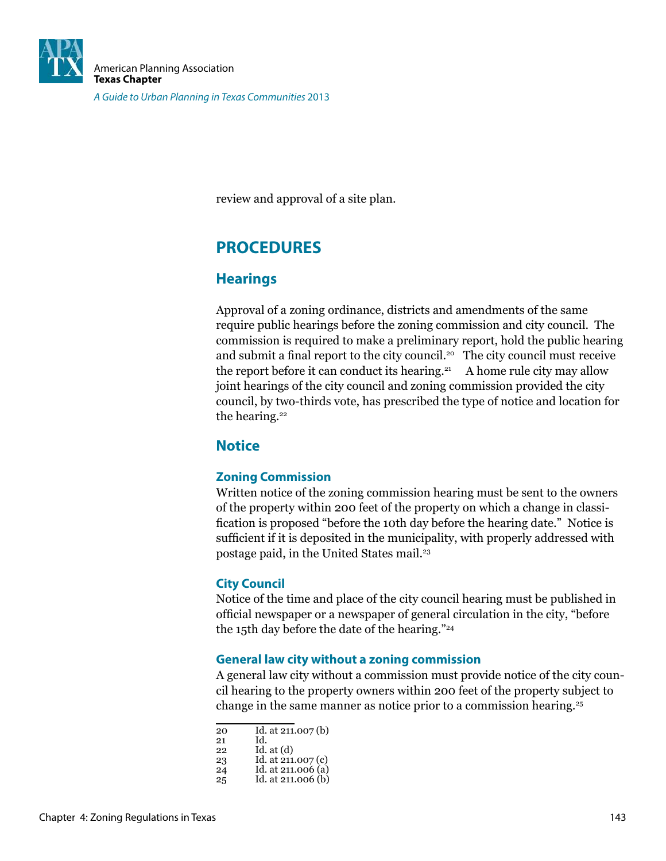

review and approval of a site plan.

# **PROCEDURES**

### **Hearings**

Approval of a zoning ordinance, districts and amendments of the same require public hearings before the zoning commission and city council. The commission is required to make a preliminary report, hold the public hearing and submit a final report to the city council.<sup>20</sup> The city council must receive the report before it can conduct its hearing.<sup>21</sup> A home rule city may allow joint hearings of the city council and zoning commission provided the city council, by two-thirds vote, has prescribed the type of notice and location for the hearing.<sup>22</sup>

### **Notice**

#### **Zoning Commission**

Written notice of the zoning commission hearing must be sent to the owners of the property within 200 feet of the property on which a change in classiication is proposed "before the 10th day before the hearing date." Notice is suficient if it is deposited in the municipality, with properly addressed with postage paid, in the United States mail.<sup>23</sup>

#### **City Council**

Notice of the time and place of the city council hearing must be published in oficial newspaper or a newspaper of general circulation in the city, "before the 15th day before the date of the hearing."<sup>24</sup>

#### **General law city without a zoning commission**

A general law city without a commission must provide notice of the city council hearing to the property owners within 200 feet of the property subject to change in the same manner as notice prior to a commission hearing.<sup>25</sup>

| Id. at $211.007$ (b)<br>20 |  |
|----------------------------|--|
|----------------------------|--|

21 Id. Id. at  $(d)$ 

23 Id. at 211.007 (c)<br>24 Id. at 211.006 (a) Id. at  $211.006$  (a)

<sup>25</sup> Id. at 211.006 (b)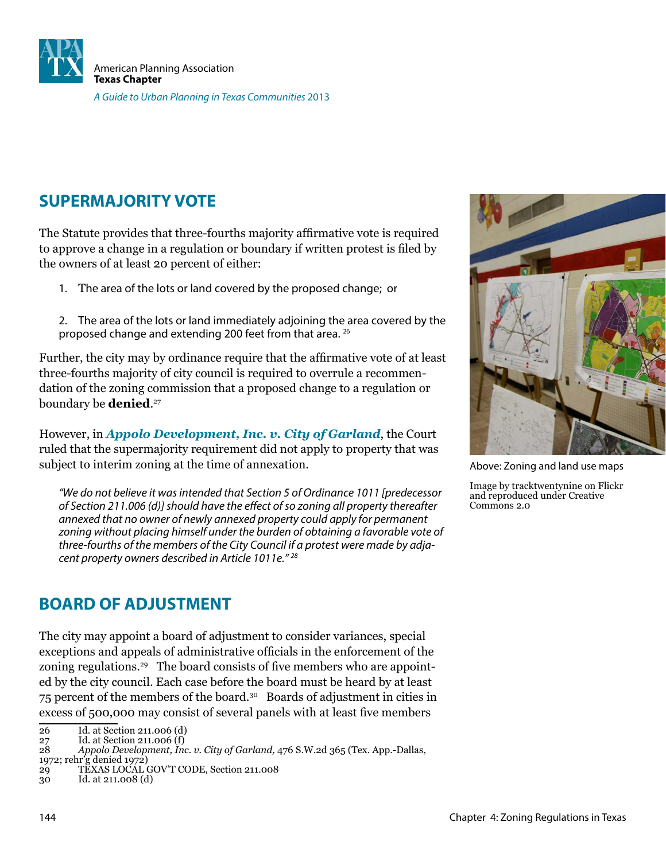

# **SUPERMAJORITY VOTE**

The Statute provides that three-fourths majority afirmative vote is required to approve a change in a regulation or boundary if written protest is filed by the owners of at least 20 percent of either:

- 1. The area of the lots or land covered by the proposed change; or
- 2. The area of the lots or land immediately adjoining the area covered by the proposed change and extending 200 feet from that area. <sup>26</sup>

Further, the city may by ordinance require that the afirmative vote of at least three-fourths majority of city council is required to overrule a recommendation of the zoning commission that a proposed change to a regulation or boundary be **denied**. 27

However, in *Appolo Development, Inc. v. City of Garland*, the Court ruled that the supermajority requirement did not apply to property that was subject to interim zoning at the time of annexation.

"We do not believe it was intended that Section 5 of Ordinance 1011 [predecessor of Section 211.006 (d)] should have the efect of so zoning all property thereafter annexed that no owner of newly annexed property could apply for permanent zoning without placing himself under the burden of obtaining a favorable vote of three-fourths of the members of the City Council if a protest were made by adjacent property owners described in Article 1011e." <sup>28</sup>

# **BOARD OF ADJUSTMENT**

The city may appoint a board of adjustment to consider variances, special exceptions and appeals of administrative oficials in the enforcement of the zoning regulations.<sup>29</sup> The board consists of five members who are appointed by the city council. Each case before the board must be heard by at least 75 percent of the members of the board.<sup>30</sup> Boards of adjustment in cities in excess of 500,000 may consist of several panels with at least five members



Above: Zoning and land use maps

Image by tracktwentynine on Flickr and reproduced under Creative Commons 2.0

<sup>26</sup> Id. at Section 211.006 (d)<br>27 Id. at Section 211.006 (f)

<sup>27</sup> Id. at Section 211.006  $(f)$ <br>28 Appolo Development, Inc.

<sup>28</sup> *Appolo Development, Inc. v. City of Garland,* 476 S.W.2d 365 (Tex. App.-Dallas,

<sup>1972;</sup> rehr'g denied 1972)

TEXAS LOCAL GOV'T CODE, Section 211.008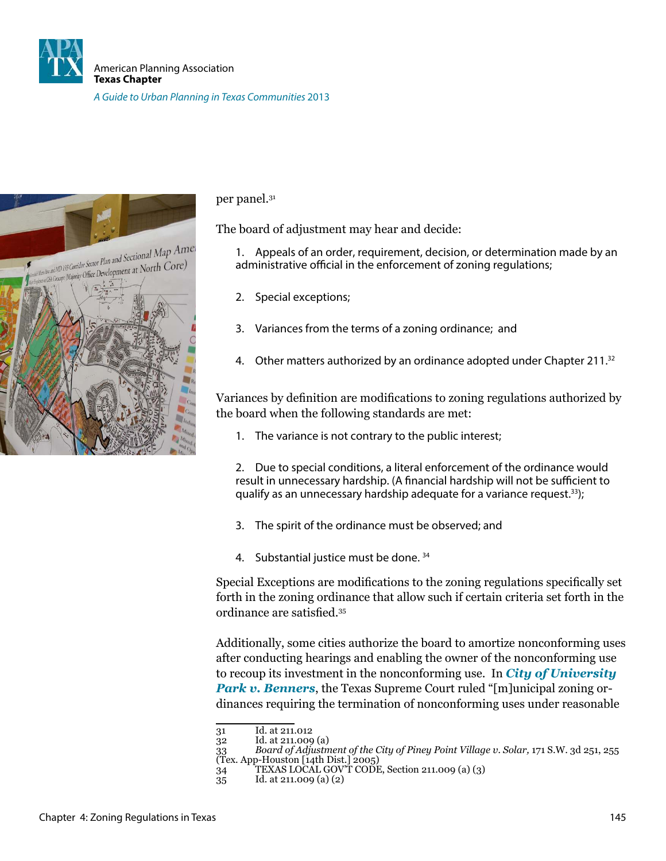



per panel.<sup>31</sup>

The board of adjustment may hear and decide:

1. Appeals of an order, requirement, decision, or determination made by an administrative official in the enforcement of zoning regulations;

- 2. Special exceptions;
- 3. Variances from the terms of a zoning ordinance; and
- 4. Other matters authorized by an ordinance adopted under Chapter 211.<sup>32</sup>

Variances by deinition are modiications to zoning regulations authorized by the board when the following standards are met:

1. The variance is not contrary to the public interest;

2. Due to special conditions, a literal enforcement of the ordinance would result in unnecessary hardship. (A financial hardship will not be sufficient to qualify as an unnecessary hardship adequate for a variance request.<sup>33</sup>);

- 3. The spirit of the ordinance must be observed; and
- 4. Substantial justice must be done. 34

Special Exceptions are modiications to the zoning regulations speciically set forth in the zoning ordinance that allow such if certain criteria set forth in the ordinance are satisfied.<sup>35</sup>

Additionally, some cities authorize the board to amortize nonconforming uses after conducting hearings and enabling the owner of the nonconforming use to recoup its investment in the nonconforming use. In *City of University Park v. Benners*, the Texas Supreme Court ruled "[m]unicipal zoning ordinances requiring the termination of nonconforming uses under reasonable

<sup>31</sup> Id. at 211.012<br>32 Id. at 211.009

Id. at 211.009 (a)

<sup>33</sup> *Board of Adjustment of the City of Piney Point Village v. Solar,* 171 S.W. 3d 251, 255 33 Board of Adjustment of the U<br>(Tex. App-Houston [14th Dist.] 2005)

<sup>34</sup> TEXAS LOCAL GOV'T CODE, Section 211.009 (a) (3)

<sup>35</sup> Id. at 211.009 (a) (2)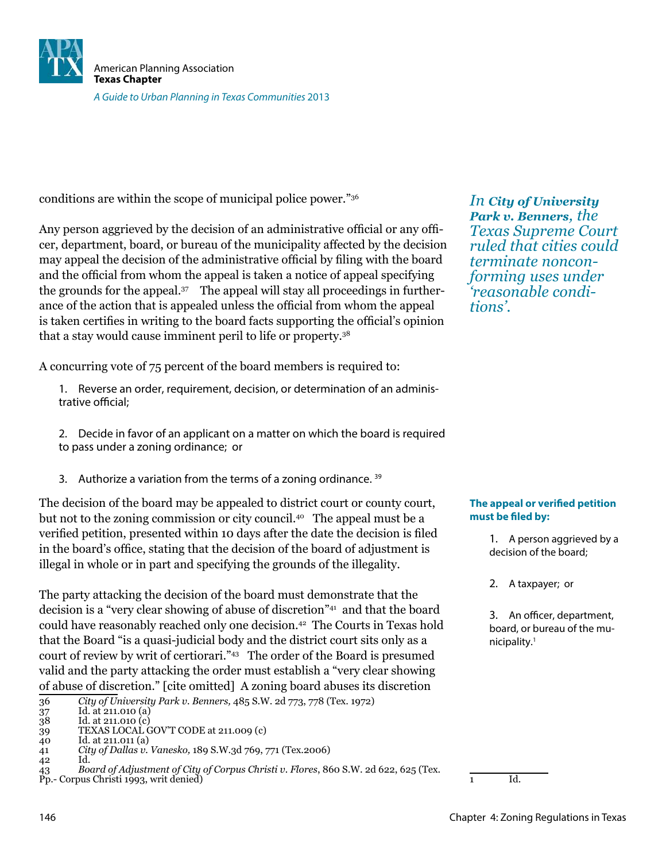

conditions are within the scope of municipal police power."<sup>36</sup>

Any person aggrieved by the decision of an administrative oficial or any oficer, department, board, or bureau of the municipality affected by the decision may appeal the decision of the administrative oficial by iling with the board and the oficial from whom the appeal is taken a notice of appeal specifying the grounds for the appeal.37 The appeal will stay all proceedings in furtherance of the action that is appealed unless the oficial from whom the appeal is taken certifies in writing to the board facts supporting the official's opinion that a stay would cause imminent peril to life or property.<sup>38</sup>

A concurring vote of 75 percent of the board members is required to:

- 1. Reverse an order, requirement, decision, or determination of an administrative official:
- 2. Decide in favor of an applicant on a matter on which the board is required to pass under a zoning ordinance; or
- 3. Authorize a variation from the terms of a zoning ordinance.  $39$

The decision of the board may be appealed to district court or county court, but not to the zoning commission or city council.40 The appeal must be a veriied petition, presented within 10 days after the date the decision is iled in the board's ofice, stating that the decision of the board of adjustment is illegal in whole or in part and specifying the grounds of the illegality.

The party attacking the decision of the board must demonstrate that the decision is a "very clear showing of abuse of discretion"<sup>41</sup> and that the board could have reasonably reached only one decision.<sup>42</sup> The Courts in Texas hold that the Board "is a quasi-judicial body and the district court sits only as a court of review by writ of certiorari."<sup>43</sup> The order of the Board is presumed valid and the party attacking the order must establish a "very clear showing of abuse of discretion." [cite omitted] A zoning board abuses its discretion

*In City of University Park v. Benners, the Texas Supreme Court ruled that cities could terminate nonconforming uses under 'reasonable conditions'.*

#### **The appeal or verified petition** must be filed by:

1. A person aggrieved by a decision of the board;

2. A taxpayer; or

3. An officer, department, board, or bureau of the municipality.<sup>1</sup>

 $\overline{1}$  Id.

<sup>36</sup> *City of University Park v. Benners,* 485 S.W. 2d 773, 778 (Tex. 1972)

Id. at 211.010 (a)

Id. at 211.010 (c) 39 TEXAS LOCAL GOV'T CODE at 211.009 (c)<br>40 Id. at 211.011 (a)

Id. at 211.011 (a)

<sup>41</sup> *City of Dallas v. Vanesko,* 189 S.W.3d 769, 771 (Tex.2006)

<sup>42</sup> Id.

<sup>43</sup> *Board of Adjustment of City of Corpus Christi v. Flores*, 860 S.W. 2d 622, 625 (Tex. Pp.- Corpus Christi 1993, writ denied)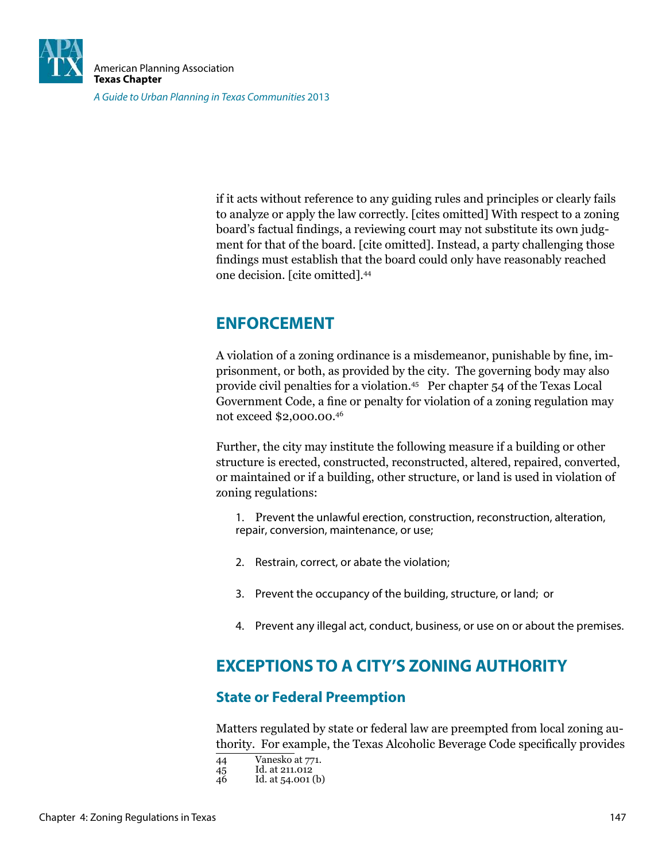

if it acts without reference to any guiding rules and principles or clearly fails to analyze or apply the law correctly. [cites omitted] With respect to a zoning board's factual findings, a reviewing court may not substitute its own judgment for that of the board. [cite omitted]. Instead, a party challenging those indings must establish that the board could only have reasonably reached one decision. [cite omitted].<sup>44</sup>

# **ENFORCEMENT**

A violation of a zoning ordinance is a misdemeanor, punishable by ine, imprisonment, or both, as provided by the city. The governing body may also provide civil penalties for a violation.<sup>45</sup> Per chapter 54 of the Texas Local Government Code, a fine or penalty for violation of a zoning regulation may not exceed \$2,000.00.<sup>46</sup>

Further, the city may institute the following measure if a building or other structure is erected, constructed, reconstructed, altered, repaired, converted, or maintained or if a building, other structure, or land is used in violation of zoning regulations:

- 1. Prevent the unlawful erection, construction, reconstruction, alteration, repair, conversion, maintenance, or use;
- 2. Restrain, correct, or abate the violation;
- 3. Prevent the occupancy of the building, structure, or land; or
- 4. Prevent any illegal act, conduct, business, or use on or about the premises.

# **EXCEPTIONS TO A CITY'S ZONING AUTHORITY**

### **State or Federal Preemption**

Matters regulated by state or federal law are preempted from local zoning authority. For example, the Texas Alcoholic Beverage Code speciically provides

<sup>44</sup> Vanesko at 771.<br>45 Id. at 211.012<br>46 Id. at 54.001 (b) Id. at  $211.012$ 

Id. at 54.001 (b)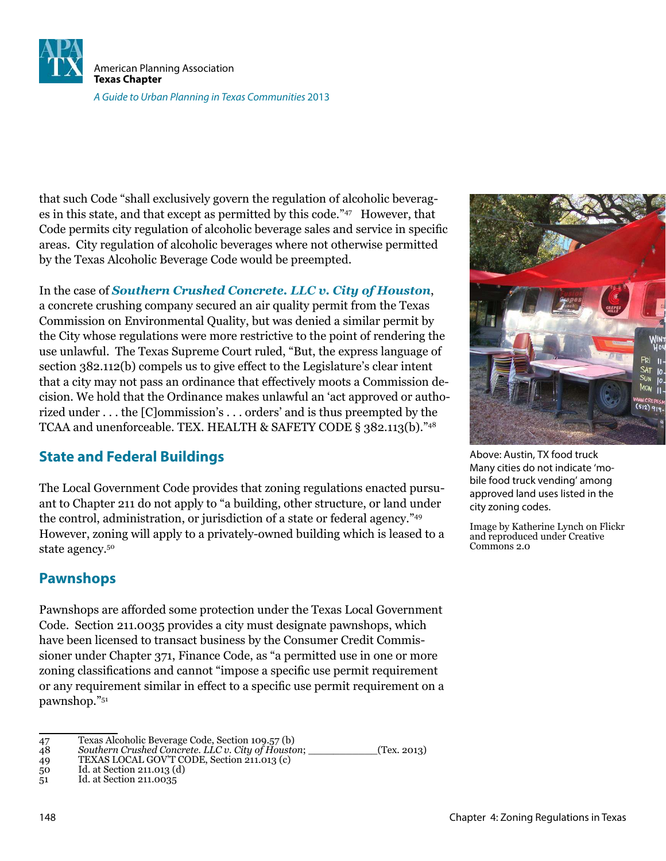

that such Code "shall exclusively govern the regulation of alcoholic beverages in this state, and that except as permitted by this code."<sup>47</sup> However, that Code permits city regulation of alcoholic beverage sales and service in speciic areas. City regulation of alcoholic beverages where not otherwise permitted by the Texas Alcoholic Beverage Code would be preempted.

In the case of *Southern Crushed Concrete. LLC v. City of Houston*, a concrete crushing company secured an air quality permit from the Texas Commission on Environmental Quality, but was denied a similar permit by the City whose regulations were more restrictive to the point of rendering the use unlawful. The Texas Supreme Court ruled, "But, the express language of section 382.112(b) compels us to give effect to the Legislature's clear intent that a city may not pass an ordinance that effectively moots a Commission decision. We hold that the Ordinance makes unlawful an 'act approved or authorized under . . . the [C]ommission's . . . orders' and is thus preempted by the TCAA and unenforceable. TEX. HEALTH & SAFETY CODE § 382.113(b)."<sup>48</sup>

#### **State and Federal Buildings**

The Local Government Code provides that zoning regulations enacted pursuant to Chapter 211 do not apply to "a building, other structure, or land under the control, administration, or jurisdiction of a state or federal agency."<sup>49</sup> However, zoning will apply to a privately-owned building which is leased to a state agency.<sup>50</sup>

#### **Pawnshops**

Pawnshops are afforded some protection under the Texas Local Government Code. Section 211.0035 provides a city must designate pawnshops, which have been licensed to transact business by the Consumer Credit Commissioner under Chapter 371, Finance Code, as "a permitted use in one or more zoning classifications and cannot "impose a specific use permit requirement" or any requirement similar in effect to a speciic use permit requirement on a pawnshop."<sup>51</sup>

```
51 Id. at Section 211.0035
```


Above: Austin, TX food truck Many cities do not indicate 'mobile food truck vending' among approved land uses listed in the city zoning codes.

Image by Katherine Lynch on Flickr and reproduced under Creative Commons 2.0

<sup>47</sup> Texas Alcoholic Beverage Code, Section 109.57 (b)<br>48 Southern Crushed Concrete. LLC v. City of Housta

<sup>48</sup> *Southern Crushed Concrete. LLC v. City of Houston*; \_\_\_\_\_\_\_\_\_\_\_(Tex. 2013)

<sup>49</sup> TEXAS LOCAL GOV'T CODE, Section 211.013 (c)

<sup>50</sup> Id. at Section 211.013 (d)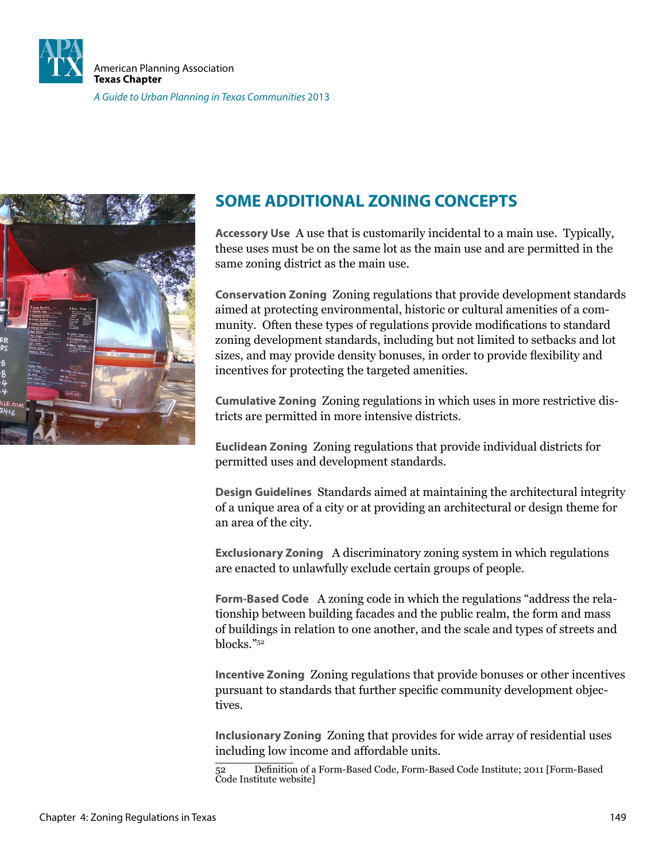



# **SOME ADDITIONAL ZONING CONCEPTS**

**Accessory Use** A use that is customarily incidental to a main use. Typically, these uses must be on the same lot as the main use and are permitted in the same zoning district as the main use.

**Conservation Zoning** Zoning regulations that provide development standards aimed at protecting environmental, historic or cultural amenities of a community. Often these types of regulations provide modifications to standard zoning development standards, including but not limited to setbacks and lot sizes, and may provide density bonuses, in order to provide lexibility and incentives for protecting the targeted amenities.

**Cumulative Zoning** Zoning regulations in which uses in more restrictive districts are permitted in more intensive districts.

**Euclidean Zoning** Zoning regulations that provide individual districts for permitted uses and development standards.

**Design Guidelines** Standards aimed at maintaining the architectural integrity of a unique area of a city or at providing an architectural or design theme for an area of the city.

**Exclusionary Zoning** A discriminatory zoning system in which regulations are enacted to unlawfully exclude certain groups of people.

**Form-Based Code** A zoning code in which the regulations "address the relationship between building facades and the public realm, the form and mass of buildings in relation to one another, and the scale and types of streets and blocks."<sup>52</sup>

**Incentive Zoning** Zoning regulations that provide bonuses or other incentives pursuant to standards that further specific community development objectives.

**Inclusionary Zoning** Zoning that provides for wide array of residential uses including low income and affordable units.

<sup>52</sup> Deinition of a Form-Based Code, Form-Based Code Institute; 2011 [Form-Based Code Institute website]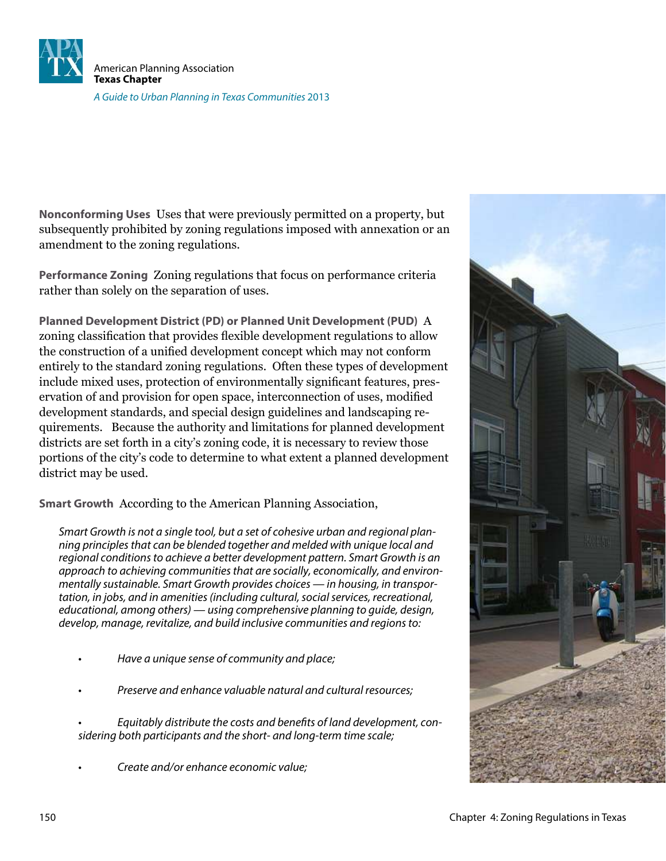

**Nonconforming Uses** Uses that were previously permitted on a property, but subsequently prohibited by zoning regulations imposed with annexation or an amendment to the zoning regulations.

**Performance Zoning** Zoning regulations that focus on performance criteria rather than solely on the separation of uses.

**Planned Development District (PD) or Planned Unit Development (PUD)** A zoning classification that provides flexible development regulations to allow the construction of a unified development concept which may not conform entirely to the standard zoning regulations. Often these types of development include mixed uses, protection of environmentally significant features, preservation of and provision for open space, interconnection of uses, modified development standards, and special design guidelines and landscaping requirements. Because the authority and limitations for planned development districts are set forth in a city's zoning code, it is necessary to review those portions of the city's code to determine to what extent a planned development district may be used.

**Smart Growth** According to the American Planning Association,

Smart Growth is not a single tool, but a set of cohesive urban and regional planning principles that can be blended together and melded with unique local and regional conditions to achieve a better development pattern. Smart Growth is an approach to achieving communities that are socially, economically, and environmentally sustainable. Smart Growth provides choices — in housing, in transportation, in jobs, and in amenities (including cultural, social services, recreational, educational, among others) — using comprehensive planning to guide, design, develop, manage, revitalize, and build inclusive communities and regions to:

- Have a unique sense of community and place;
- Preserve and enhance valuable natural and cultural resources;
- Equitably distribute the costs and benefits of land development, considering both participants and the short- and long-term time scale;
- Create and/or enhance economic value;

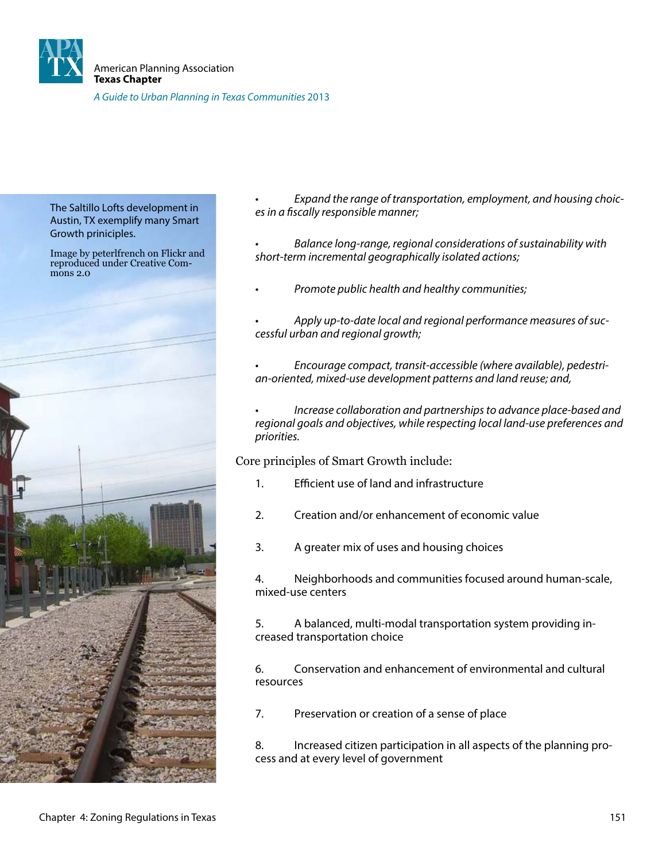

The Saltillo Lofts development in Austin, TX exemplify many Smart Growth priniciples.

Image by peterlfrench on Flickr and reproduced under Creative Com- $\overline{\text{mons}}$  2.0



Expand the range of transportation, employment, and housing choices in a fiscally responsible manner;

- Balance long-range, regional considerations of sustainability with short-term incremental geographically isolated actions;
- Promote public health and healthy communities;
- Apply up-to-date local and regional performance measures of successful urban and regional growth;
- Encourage compact, transit-accessible (where available), pedestrian-oriented, mixed-use development patterns and land reuse; and,
- Increase collaboration and partnerships to advance place-based and regional goals and objectives, while respecting local land-use preferences and priorities.

Core principles of Smart Growth include:

- 1. Efficient use of land and infrastructure
- 2. Creation and/or enhancement of economic value
- 3. A greater mix of uses and housing choices

4. Neighborhoods and communities focused around human-scale, mixed-use centers

5. A balanced, multi-modal transportation system providing increased transportation choice

6. Conservation and enhancement of environmental and cultural resources

7. Preservation or creation of a sense of place

8. Increased citizen participation in all aspects of the planning process and at every level of government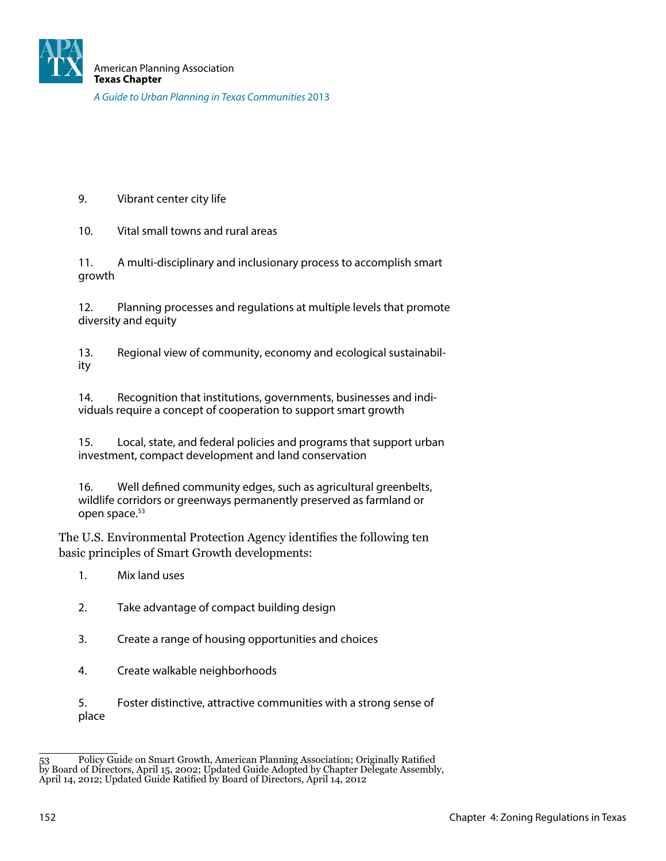9. Vibrant center city life

10. Vital small towns and rural areas

11. A multi-disciplinary and inclusionary process to accomplish smart growth

12. Planning processes and regulations at multiple levels that promote diversity and equity

13. Regional view of community, economy and ecological sustainability

14. Recognition that institutions, governments, businesses and individuals require a concept of cooperation to support smart growth

15. Local, state, and federal policies and programs that support urban investment, compact development and land conservation

16. Well defined community edges, such as agricultural greenbelts, wildlife corridors or greenways permanently preserved as farmland or open space.<sup>53</sup>

The U.S. Environmental Protection Agency identifies the following ten basic principles of Smart Growth developments:

- 1. Mix land uses
- 2. Take advantage of compact building design
- 3. Create a range of housing opportunities and choices
- 4. Create walkable neighborhoods

5. Foster distinctive, attractive communities with a strong sense of place

<sup>53</sup> Policy Guide on Smart Growth, American Planning Association; Originally Ratiied by Board of Directors, April 15, 2002; Updated Guide Adopted by Chapter Delegate Assembly, April 14, 2012; Updated Guide Ratiied by Board of Directors, April 14, 2012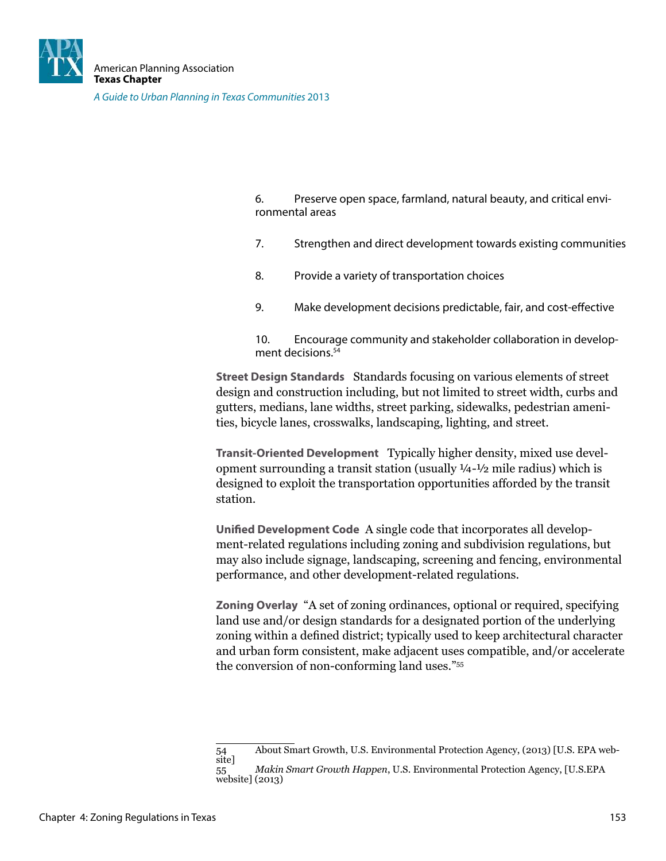

6. Preserve open space, farmland, natural beauty, and critical environmental areas

- 7. Strengthen and direct development towards existing communities
- 8. Provide a variety of transportation choices
- 9. Make development decisions predictable, fair, and cost-efective

10. Encourage community and stakeholder collaboration in development decisions.<sup>54</sup>

**Street Design Standards** Standards focusing on various elements of street design and construction including, but not limited to street width, curbs and gutters, medians, lane widths, street parking, sidewalks, pedestrian amenities, bicycle lanes, crosswalks, landscaping, lighting, and street.

**Transit-Oriented Development** Typically higher density, mixed use development surrounding a transit station (usually  $\frac{1}{4}$ - $\frac{1}{2}$  mile radius) which is designed to exploit the transportation opportunities afforded by the transit station.

**Unified Development Code** A single code that incorporates all development-related regulations including zoning and subdivision regulations, but may also include signage, landscaping, screening and fencing, environmental performance, and other development-related regulations.

**Zoning Overlay** "A set of zoning ordinances, optional or required, specifying land use and/or design standards for a designated portion of the underlying zoning within a defined district; typically used to keep architectural character and urban form consistent, make adjacent uses compatible, and/or accelerate the conversion of non-conforming land uses."<sup>55</sup>

<sup>54</sup> About Smart Growth, U.S. Environmental Protection Agency, (2013) [U.S. EPA website]

<sup>55</sup> *Makin Smart Growth Happen*, U.S. Environmental Protection Agency, [U.S.EPA website] (2013)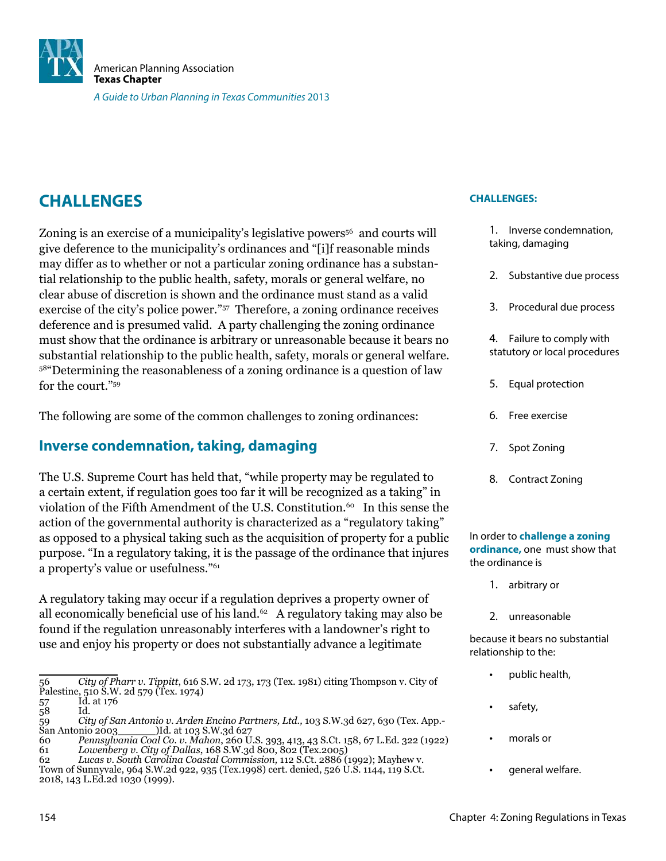

# **CHALLENGES**

Zoning is an exercise of a municipality's legislative powers <sup>56</sup> and courts will give deference to the municipality's ordinances and "[i]f reasonable minds may differ as to whether or not a particular zoning ordinance has a substantial relationship to the public health, safety, morals or general welfare, no clear abuse of discretion is shown and the ordinance must stand as a valid exercise of the city's police power."<sup>57</sup> Therefore, a zoning ordinance receives deference and is presumed valid. A party challenging the zoning ordinance must show that the ordinance is arbitrary or unreasonable because it bears no substantial relationship to the public health, safety, morals or general welfare. <sup>58</sup>"Determining the reasonableness of a zoning ordinance is a question of law for the court."<sup>59</sup>

The following are some of the common challenges to zoning ordinances:

#### **Inverse condemnation, taking, damaging**

The U.S. Supreme Court has held that, "while property may be regulated to a certain extent, if regulation goes too far it will be recognized as a taking" in violation of the Fifth Amendment of the U.S. Constitution.<sup>60</sup> In this sense the action of the governmental authority is characterized as a "regulatory taking" as opposed to a physical taking such as the acquisition of property for a public purpose. "In a regulatory taking, it is the passage of the ordinance that injures a property's value or usefulness."<sup>61</sup>

A regulatory taking may occur if a regulation deprives a property owner of all economically beneficial use of his land.<sup>62</sup> A regulatory taking may also be found if the regulation unreasonably interferes with a landowner's right to use and enjoy his property or does not substantially advance a legitimate

#### **CHALLENGES:**

- 1. Inverse condemnation, taking, damaging
- 2. Substantive due process
- 3. Procedural due process
- 4. Failure to comply with statutory or local procedures
- 5. Equal protection
- 6. Free exercise
- 7. Spot Zoning
- 8. Contract Zoning

#### In order to **challenge a zoning ordinance,** one must show that the ordinance is

- 1. arbitrary or
- 2. unreasonable

because it bears no substantial relationship to the:

- public health,
- safety,
- morals or
- general welfare.

<sup>56</sup> *City of Pharr v. Tippitt*, 616 S.W. 2d 173, 173 (Tex. 1981) citing Thompson v. City of Palestine, 510 S.W. 2d 579 (Tex. 1974)

<sup>1</sup>d. at 176<br>Id.  $\frac{57}{58}$ 

<sup>59</sup> *City of San Antonio v. Arden Encino Partners, Ltd.,* 103 S.W.3d 627, 630 (Tex. App.- San Antonio 2003\_\_\_\_\_\_)Id. at 103 S.W.3d 627

<sup>60</sup> *Pennsylvania Coal Co. v. Mahon*, 260 U.S. 393, 413, 43 S.Ct. 158, 67 L.Ed. 322 (1922) 61 *Lowenberg v. City of Dallas*, 168 S.W.3d 800, 802 (Tex.2005)

<sup>62</sup> *Lucas v. South Carolina Coastal Commission,* 112 S.Ct. 2886 (1992); Mayhew v.

Town of Sunnyvale, 964 S.W.2d 922, 935 (Tex.1998) cert. denied, 526 U.S. 1144, 119 S.Ct. 2018, 143 L.Ed.2d 1030 (1999).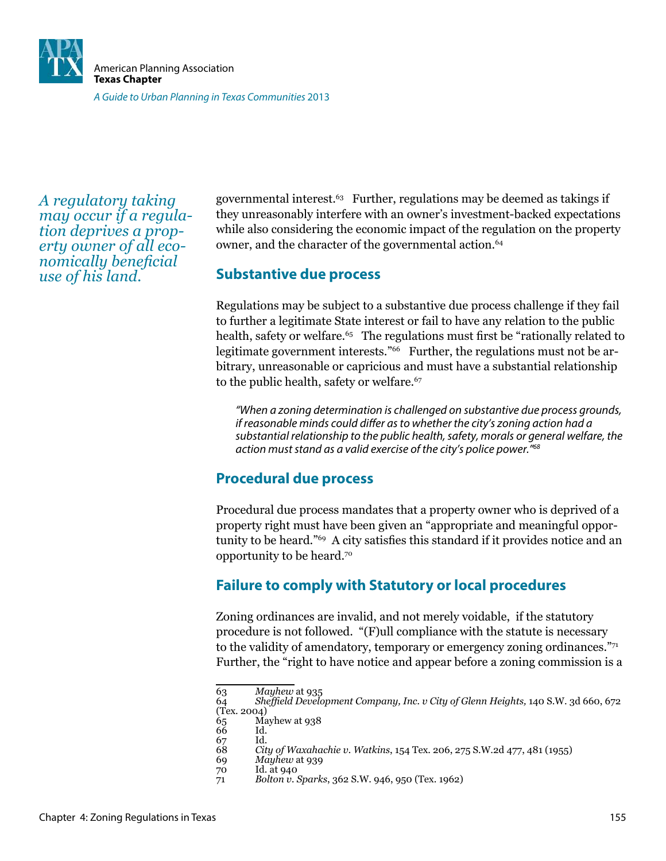

*A regulatory taking may occur if a regulation deprives a property owner of all economically beneficial use of his land.*

governmental interest.63 Further, regulations may be deemed as takings if they unreasonably interfere with an owner's investment-backed expectations while also considering the economic impact of the regulation on the property owner, and the character of the governmental action.<sup>64</sup>

#### **Substantive due process**

Regulations may be subject to a substantive due process challenge if they fail to further a legitimate State interest or fail to have any relation to the public health, safety or welfare.<sup>65</sup> The regulations must first be "rationally related to legitimate government interests."<sup>66</sup> Further, the regulations must not be arbitrary, unreasonable or capricious and must have a substantial relationship to the public health, safety or welfare.<sup>67</sup>

"When a zoning determination is challenged on substantive due process grounds, if reasonable minds could difer as to whether the city's zoning action had a substantial relationship to the public health, safety, morals or general welfare, the action must stand as a valid exercise of the city's police power."<sup>68</sup>

#### **Procedural due process**

Procedural due process mandates that a property owner who is deprived of a property right must have been given an "appropriate and meaningful opportunity to be heard."<sup>69</sup> A city satisies this standard if it provides notice and an opportunity to be heard.<sup>70</sup>

### **Failure to comply with Statutory or local procedures**

Zoning ordinances are invalid, and not merely voidable, if the statutory procedure is not followed. "(F)ull compliance with the statute is necessary to the validity of amendatory, temporary or emergency zoning ordinances." $\frac{1}{7}$ Further, the "right to have notice and appear before a zoning commission is a

<sup>63</sup> *Mayhew* at 935

<sup>64</sup> *Shefield Development Company, Inc. v City of Glenn Heights,* 140 S.W. 3d 660, 672 (Tex. 2004)

Mayhew at 938

<sup>66</sup> Id.<br>67 Id.

 $^{67}_{68}$ 68 *City of Waxahachie v. Watkins*, 154 Tex. 206, 275 S.W.2d 477, 481 (1955)

<sup>69</sup> *Mayhew* at 939

Id. at 940

<sup>71</sup> *Bolton v. Sparks*, 362 S.W. 946, 950 (Tex. 1962)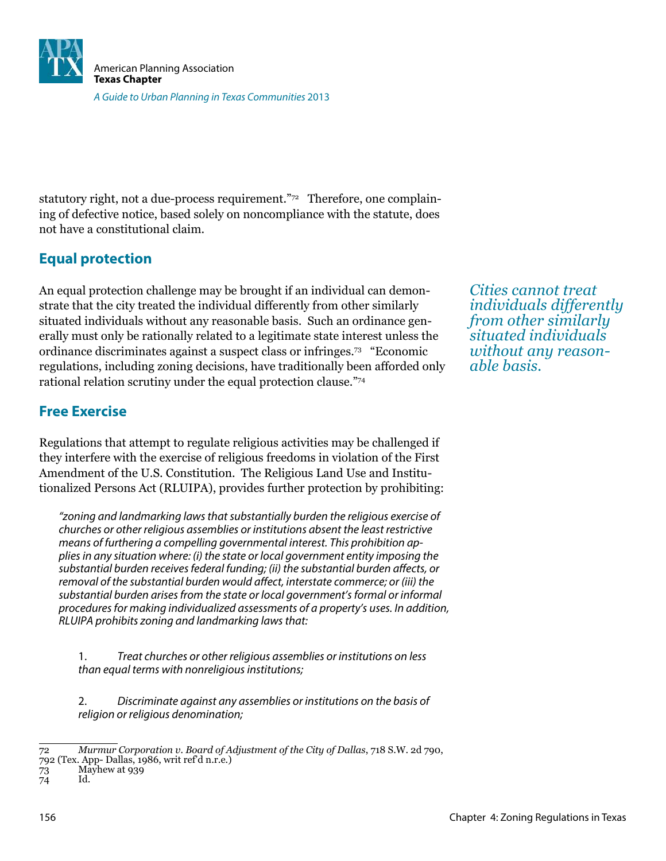

statutory right, not a due-process requirement."72 Therefore, one complaining of defective notice, based solely on noncompliance with the statute, does not have a constitutional claim.

## **Equal protection**

An equal protection challenge may be brought if an individual can demonstrate that the city treated the individual differently from other similarly situated individuals without any reasonable basis. Such an ordinance generally must only be rationally related to a legitimate state interest unless the ordinance discriminates against a suspect class or infringes.73 "Economic regulations, including zoning decisions, have traditionally been afforded only rational relation scrutiny under the equal protection clause."<sup>74</sup>

### **Free Exercise**

Regulations that attempt to regulate religious activities may be challenged if they interfere with the exercise of religious freedoms in violation of the First Amendment of the U.S. Constitution. The Religious Land Use and Institutionalized Persons Act (RLUIPA), provides further protection by prohibiting:

"zoning and landmarking laws that substantially burden the religious exercise of churches or other religious assemblies or institutions absent the least restrictive means of furthering a compelling governmental interest. This prohibition applies in any situation where: (i) the state or local government entity imposing the substantial burden receives federal funding; (ii) the substantial burden afects, or removal of the substantial burden would afect, interstate commerce; or (iii) the substantial burden arises from the state or local government's formal or informal procedures for making individualized assessments of a property's uses. In addition, RLUIPA prohibits zoning and landmarking laws that:

1. Treat churches or other religious assemblies or institutions on less than equal terms with nonreligious institutions;

2. Discriminate against any assemblies or institutions on the basis of religion or religious denomination;

*Cities cannot treat individuals differently from other similarly situated individuals without any reasonable basis.*

<sup>72</sup> *Murmur Corporation v. Board of Adjustment of the City of Dallas*, 718 S.W. 2d 790, 792 (Tex. App- Dallas, 1986, writ ref'd n.r.e.)

<sup>73</sup> Mayhew at 939

<sup>74</sup> Id.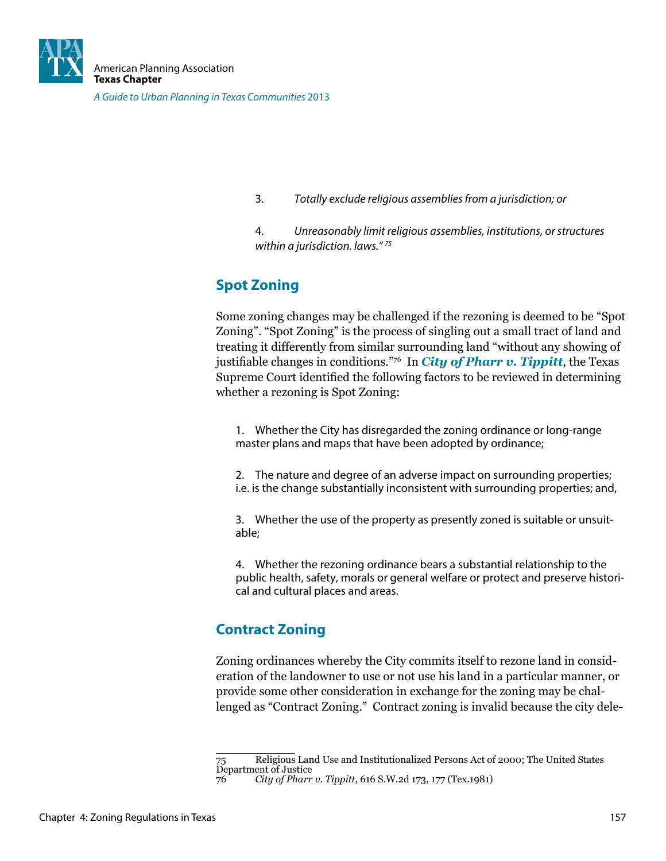

3. Totally exclude religious assemblies from a jurisdiction; or

4. Unreasonably limit religious assemblies, institutions, or structures within a jurisdiction. laws." $75$ 

## **Spot Zoning**

Some zoning changes may be challenged if the rezoning is deemed to be "Spot Zoning". "Spot Zoning" is the process of singling out a small tract of land and treating it differently from similar surrounding land "without any showing of justifiable changes in conditions."<sup>76</sup> In *City of Pharr v. Tippitt*, the Texas Supreme Court identiied the following factors to be reviewed in determining whether a rezoning is Spot Zoning:

1. Whether the City has disregarded the zoning ordinance or long-range master plans and maps that have been adopted by ordinance;

2. The nature and degree of an adverse impact on surrounding properties; i.e. is the change substantially inconsistent with surrounding properties; and,

3. Whether the use of the property as presently zoned is suitable or unsuitable;

4. Whether the rezoning ordinance bears a substantial relationship to the public health, safety, morals or general welfare or protect and preserve historical and cultural places and areas.

## **Contract Zoning**

Zoning ordinances whereby the City commits itself to rezone land in consideration of the landowner to use or not use his land in a particular manner, or provide some other consideration in exchange for the zoning may be challenged as "Contract Zoning." Contract zoning is invalid because the city dele-

<sup>75</sup> Religious Land Use and Institutionalized Persons Act of 2000; The United States Department of Justice

<sup>76</sup> *City of Pharr v. Tippitt*, 616 S.W.2d 173, 177 (Tex.1981)